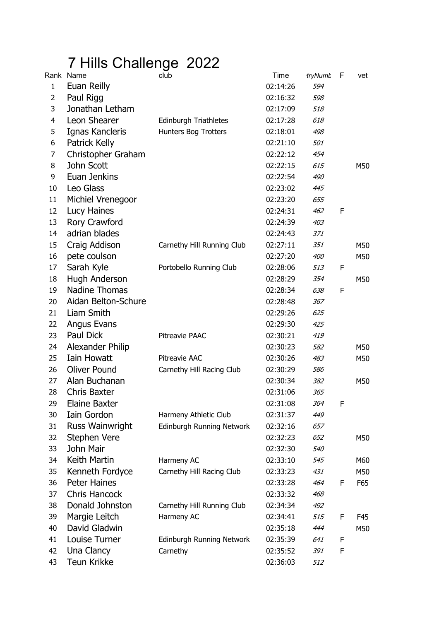## 7 Hills Challenge 2022

|                | Rank Name              | club                         | Time     | <b>itryNumb</b> | F | vet |
|----------------|------------------------|------------------------------|----------|-----------------|---|-----|
| $\mathbf{1}$   | Euan Reilly            |                              | 02:14:26 | 594             |   |     |
| 2              | Paul Rigg              |                              | 02:16:32 | 598             |   |     |
| 3              | Jonathan Letham        |                              | 02:17:09 | 518             |   |     |
| $\overline{4}$ | Leon Shearer           | <b>Edinburgh Triathletes</b> | 02:17:28 | 618             |   |     |
| 5              | Ignas Kancleris        | Hunters Bog Trotters         | 02:18:01 | 498             |   |     |
| 6              | Patrick Kelly          |                              | 02:21:10 | <i>501</i>      |   |     |
| 7              | Christopher Graham     |                              | 02:22:12 | 454             |   |     |
| 8              | John Scott             |                              | 02:22:15 | 615             |   | M50 |
| 9              | Euan Jenkins           |                              | 02:22:54 | 490             |   |     |
| 10             | Leo Glass              |                              | 02:23:02 | 445             |   |     |
| 11             | Michiel Vrenegoor      |                              | 02:23:20 | 655             |   |     |
| 12             | Lucy Haines            |                              | 02:24:31 | 462             | F |     |
| 13             | Rory Crawford          |                              | 02:24:39 | 403             |   |     |
| 14             | adrian blades          |                              | 02:24:43 | 371             |   |     |
| 15             | Craig Addison          | Carnethy Hill Running Club   | 02:27:11 | 351             |   | M50 |
| 16             | pete coulson           |                              | 02:27:20 | 400             |   | M50 |
| 17             | Sarah Kyle             | Portobello Running Club      | 02:28:06 | 513             | F |     |
| 18             | Hugh Anderson          |                              | 02:28:29 | 354             |   | M50 |
| 19             | <b>Nadine Thomas</b>   |                              | 02:28:34 | 638             | F |     |
| 20             | Aidan Belton-Schure    |                              | 02:28:48 | 367             |   |     |
| 21             | Liam Smith             |                              | 02:29:26 | 625             |   |     |
| 22             | Angus Evans            |                              | 02:29:30 | 425             |   |     |
| 23             | Paul Dick              | Pitreavie PAAC               | 02:30:21 | 419             |   |     |
| 24             | Alexander Philip       |                              | 02:30:23 | 582             |   | M50 |
| 25             | <b>Iain Howatt</b>     | Pitreavie AAC                | 02:30:26 | 483             |   | M50 |
| 26             | <b>Oliver Pound</b>    | Carnethy Hill Racing Club    | 02:30:29 | 586             |   |     |
| 27             | Alan Buchanan          |                              | 02:30:34 | 382             |   | M50 |
| 28             | <b>Chris Baxter</b>    |                              | 02:31:06 | 365             |   |     |
| 29             | <b>Elaine Baxter</b>   |                              | 02:31:08 | 364             | F |     |
| 30             | Iain Gordon            | Harmeny Athletic Club        | 02:31:37 | 449             |   |     |
| 31             | <b>Russ Wainwright</b> | Edinburgh Running Network    | 02:32:16 | 657             |   |     |
| 32             | Stephen Vere           |                              | 02:32:23 | 652             |   | M50 |
| 33             | John Mair              |                              | 02:32:30 | 540             |   |     |
| 34             | Keith Martin           | Harmeny AC                   | 02:33:10 | 545             |   | M60 |
| 35             | Kenneth Fordyce        | Carnethy Hill Racing Club    | 02:33:23 | 431             |   | M50 |
| 36             | <b>Peter Haines</b>    |                              | 02:33:28 | 464             | F | F65 |
| 37             | <b>Chris Hancock</b>   |                              | 02:33:32 | 468             |   |     |
| 38             | Donald Johnston        | Carnethy Hill Running Club   | 02:34:34 | 492             |   |     |
| 39             | Margie Leitch          | Harmeny AC                   | 02:34:41 | 515             | F | F45 |
| 40             | David Gladwin          |                              | 02:35:18 | 444             |   | M50 |
| 41             | Louise Turner          | Edinburgh Running Network    | 02:35:39 | 641             | F |     |
| 42             | Una Clancy             | Carnethy                     | 02:35:52 | 391             | F |     |
| 43             | <b>Teun Krikke</b>     |                              | 02:36:03 | 512             |   |     |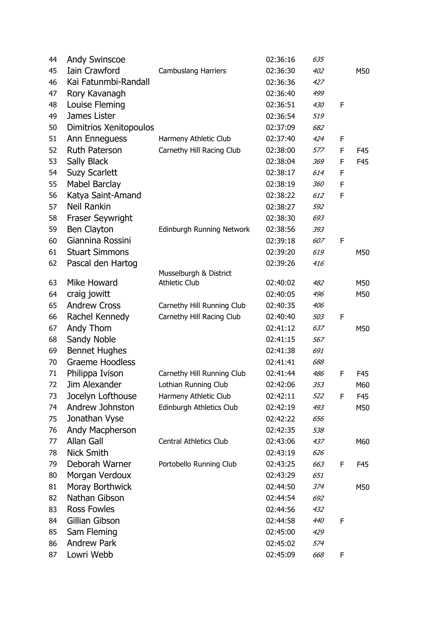| 44 | <b>Andy Swinscoe</b>    |                               | 02:36:16 | 635        |   |     |
|----|-------------------------|-------------------------------|----------|------------|---|-----|
| 45 | <b>Iain Crawford</b>    | <b>Cambuslang Harriers</b>    | 02:36:30 | 402        |   | M50 |
| 46 | Kai Fatunmbi-Randall    |                               | 02:36:36 | 427        |   |     |
| 47 | Rory Kavanagh           |                               | 02:36:40 | 499        |   |     |
| 48 | Louise Fleming          |                               | 02:36:51 | 430        | F |     |
| 49 | James Lister            |                               | 02:36:54 | 519        |   |     |
| 50 | Dimitrios Xenitopoulos  |                               | 02:37:09 | 682        |   |     |
| 51 | Ann Enneguess           | Harmeny Athletic Club         | 02:37:40 | 424        | F |     |
| 52 | <b>Ruth Paterson</b>    | Carnethy Hill Racing Club     | 02:38:00 | 577        | F | F45 |
| 53 | Sally Black             |                               | 02:38:04 | 369        | F | F45 |
| 54 | <b>Suzy Scarlett</b>    |                               | 02:38:17 | 614        | F |     |
| 55 | <b>Mabel Barclay</b>    |                               | 02:38:19 | <i>360</i> | F |     |
| 56 | Katya Saint-Amand       |                               | 02:38:22 | 612        | F |     |
| 57 | <b>Neil Rankin</b>      |                               | 02:38:27 | 592        |   |     |
| 58 | <b>Fraser Seywright</b> |                               | 02:38:30 | 693        |   |     |
| 59 | Ben Clayton             | Edinburgh Running Network     | 02:38:56 | 393        |   |     |
| 60 | Giannina Rossini        |                               | 02:39:18 | 607        | F |     |
| 61 | <b>Stuart Simmons</b>   |                               | 02:39:20 | 619        |   | M50 |
| 62 | Pascal den Hartog       |                               | 02:39:26 | 416        |   |     |
|    |                         | Musselburgh & District        |          |            |   |     |
| 63 | Mike Howard             | <b>Athletic Club</b>          | 02:40:02 | 482        |   | M50 |
| 64 | craig jowitt            |                               | 02:40:05 | 496        |   | M50 |
| 65 | <b>Andrew Cross</b>     | Carnethy Hill Running Club    | 02:40:35 | 406        |   |     |
| 66 | Rachel Kennedy          | Carnethy Hill Racing Club     | 02:40:40 | 503        | F |     |
| 67 | Andy Thom               |                               | 02:41:12 | 637        |   | M50 |
| 68 | Sandy Noble             |                               | 02:41:15 | 567        |   |     |
| 69 | <b>Bennet Hughes</b>    |                               | 02:41:38 | 691        |   |     |
| 70 | <b>Graeme Hoodless</b>  |                               | 02:41:41 | 688        |   |     |
| 71 | Philippa Ivison         | Carnethy Hill Running Club    | 02:41:44 | 486        | F | F45 |
| 72 | Jim Alexander           | Lothian Running Club          | 02:42:06 | 353        |   | M60 |
| 73 | Jocelyn Lofthouse       | Harmeny Athletic Club         | 02:42:11 | 522        | F | F45 |
| 74 | Andrew Johnston         | Edinburgh Athletics Club      | 02:42:19 | 493        |   | M50 |
| 75 | Jonathan Vyse           |                               | 02:42:22 | 656        |   |     |
| 76 | Andy Macpherson         |                               | 02:42:35 | 538        |   |     |
| 77 | Allan Gall              | <b>Central Athletics Club</b> | 02:43:06 | 437        |   | M60 |
| 78 | <b>Nick Smith</b>       |                               | 02:43:19 | 626        |   |     |
| 79 | Deborah Warner          | Portobello Running Club       | 02:43:25 | 663        | F | F45 |
| 80 | Morgan Verdoux          |                               | 02:43:29 | 651        |   |     |
| 81 | Moray Borthwick         |                               | 02:44:50 | 374        |   | M50 |
| 82 | Nathan Gibson           |                               | 02:44:54 | 692        |   |     |
| 83 | <b>Ross Fowles</b>      |                               | 02:44:56 | 432        |   |     |
| 84 | Gillian Gibson          |                               | 02:44:58 | 440        | F |     |
| 85 | Sam Fleming             |                               | 02:45:00 | 429        |   |     |
| 86 | <b>Andrew Park</b>      |                               | 02:45:02 | 574        |   |     |
| 87 | Lowri Webb              |                               | 02:45:09 | 668        | F |     |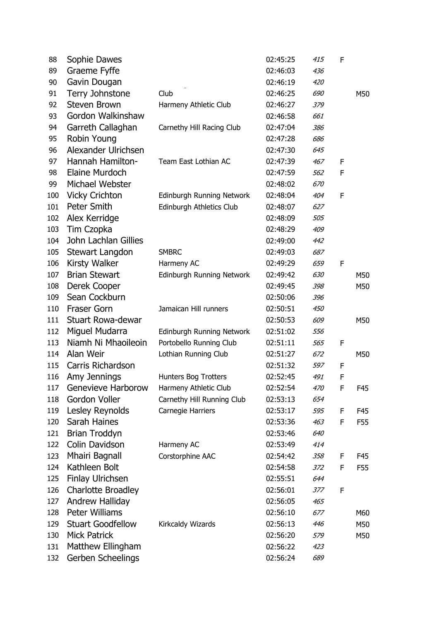| 88  | Sophie Dawes              |                                  | 02:45:25 | 415 | F |     |
|-----|---------------------------|----------------------------------|----------|-----|---|-----|
| 89  | Graeme Fyffe              |                                  | 02:46:03 | 436 |   |     |
| 90  | Gavin Dougan              |                                  | 02:46:19 | 420 |   |     |
| 91  | Terry Johnstone           | Club                             | 02:46:25 | 690 |   | M50 |
| 92  | <b>Steven Brown</b>       | Harmeny Athletic Club            | 02:46:27 | 379 |   |     |
| 93  | Gordon Walkinshaw         |                                  | 02:46:58 | 661 |   |     |
| 94  | Garreth Callaghan         | Carnethy Hill Racing Club        | 02:47:04 | 386 |   |     |
| 95  | Robin Young               |                                  | 02:47:28 | 686 |   |     |
| 96  | Alexander Ulrichsen       |                                  | 02:47:30 | 645 |   |     |
| 97  | Hannah Hamilton-          | Team East Lothian AC             | 02:47:39 | 467 | F |     |
| 98  | Elaine Murdoch            |                                  | 02:47:59 | 562 | F |     |
| 99  | Michael Webster           |                                  | 02:48:02 | 670 |   |     |
| 100 | <b>Vicky Crichton</b>     | Edinburgh Running Network        | 02:48:04 | 404 | F |     |
| 101 | <b>Peter Smith</b>        | Edinburgh Athletics Club         | 02:48:07 | 627 |   |     |
| 102 | Alex Kerridge             |                                  | 02:48:09 | 505 |   |     |
| 103 | Tim Czopka                |                                  | 02:48:29 | 409 |   |     |
| 104 | John Lachlan Gillies      |                                  | 02:49:00 | 442 |   |     |
| 105 | Stewart Langdon           | <b>SMBRC</b>                     | 02:49:03 | 687 |   |     |
| 106 | Kirsty Walker             | Harmeny AC                       | 02:49:29 | 659 | F |     |
| 107 | <b>Brian Stewart</b>      | Edinburgh Running Network        | 02:49:42 | 630 |   | M50 |
| 108 | Derek Cooper              |                                  | 02:49:45 | 398 |   | M50 |
| 109 | Sean Cockburn             |                                  | 02:50:06 | 396 |   |     |
| 110 | <b>Fraser Gorn</b>        | Jamaican Hill runners            | 02:50:51 | 450 |   |     |
| 111 | <b>Stuart Rowa-dewar</b>  |                                  | 02:50:53 | 609 |   | M50 |
| 112 | Miguel Mudarra            | <b>Edinburgh Running Network</b> | 02:51:02 | 556 |   |     |
| 113 | Niamh Ni Mhaoileoin       | Portobello Running Club          | 02:51:11 | 565 | F |     |
| 114 | Alan Weir                 | Lothian Running Club             | 02:51:27 | 672 |   | M50 |
| 115 | Carris Richardson         |                                  | 02:51:32 | 597 | F |     |
| 116 | Amy Jennings              | Hunters Bog Trotters             | 02:52:45 | 491 | F |     |
| 117 | Genevieve Harborow        | Harmeny Athletic Club            | 02:52:54 | 470 | F | F45 |
| 118 | Gordon Voller             | Carnethy Hill Running Club       | 02:53:13 | 654 |   |     |
| 119 | Lesley Reynolds           | Carnegie Harriers                | 02:53:17 | 595 | F | F45 |
| 120 | Sarah Haines              |                                  | 02:53:36 | 463 | F | F55 |
| 121 | Brian Troddyn             |                                  | 02:53:46 | 640 |   |     |
| 122 | Colin Davidson            | Harmeny AC                       | 02:53:49 | 414 |   |     |
| 123 | Mhairi Bagnall            | Corstorphine AAC                 | 02:54:42 | 358 | F | F45 |
| 124 | Kathleen Bolt             |                                  | 02:54:58 | 372 | F | F55 |
| 125 | <b>Finlay Ulrichsen</b>   |                                  | 02:55:51 | 644 |   |     |
| 126 | <b>Charlotte Broadley</b> |                                  | 02:56:01 | 377 | F |     |
| 127 | Andrew Halliday           |                                  | 02:56:05 | 465 |   |     |
| 128 | <b>Peter Williams</b>     |                                  | 02:56:10 | 677 |   | M60 |
| 129 | <b>Stuart Goodfellow</b>  | Kirkcaldy Wizards                | 02:56:13 | 446 |   | M50 |
| 130 | <b>Mick Patrick</b>       |                                  | 02:56:20 | 579 |   | M50 |
| 131 | Matthew Ellingham         |                                  | 02:56:22 | 423 |   |     |
| 132 | Gerben Scheelings         |                                  | 02:56:24 | 689 |   |     |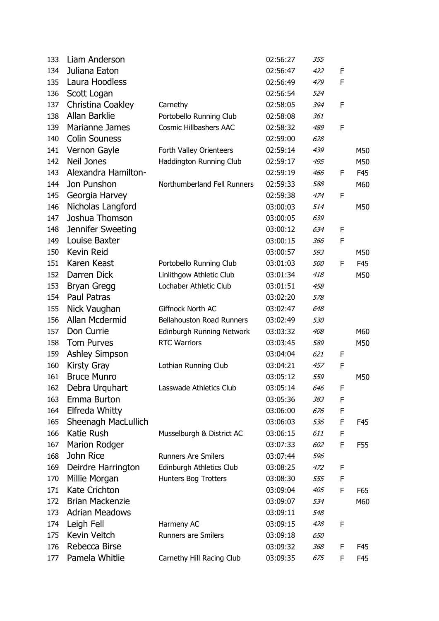| 133 | Liam Anderson          |                                  | 02:56:27 | 355        |   |     |
|-----|------------------------|----------------------------------|----------|------------|---|-----|
| 134 | Juliana Eaton          |                                  | 02:56:47 | 422        | F |     |
| 135 | Laura Hoodless         |                                  | 02:56:49 | 479        | F |     |
| 136 | Scott Logan            |                                  | 02:56:54 | 524        |   |     |
| 137 | Christina Coakley      | Carnethy                         | 02:58:05 | 394        | F |     |
| 138 | Allan Barklie          | Portobello Running Club          | 02:58:08 | 361        |   |     |
| 139 | Marianne James         | <b>Cosmic Hillbashers AAC</b>    | 02:58:32 | 489        | F |     |
| 140 | <b>Colin Souness</b>   |                                  | 02:59:00 | 628        |   |     |
| 141 | Vernon Gayle           | Forth Valley Orienteers          | 02:59:14 | 439        |   | M50 |
| 142 | <b>Neil Jones</b>      | Haddington Running Club          | 02:59:17 | 495        |   | M50 |
| 143 | Alexandra Hamilton-    |                                  | 02:59:19 | 466        | F | F45 |
| 144 | Jon Punshon            | Northumberland Fell Runners      | 02:59:33 | 588        |   | M60 |
| 145 | Georgia Harvey         |                                  | 02:59:38 | 474        | F |     |
| 146 | Nicholas Langford      |                                  | 03:00:03 | 514        |   | M50 |
| 147 | Joshua Thomson         |                                  | 03:00:05 | 639        |   |     |
| 148 | Jennifer Sweeting      |                                  | 03:00:12 | 634        | F |     |
| 149 | Louise Baxter          |                                  | 03:00:15 | 366        | F |     |
| 150 | Kevin Reid             |                                  | 03:00:57 | 593        |   | M50 |
| 151 | Karen Keast            | Portobello Running Club          | 03:01:03 | <i>500</i> | F | F45 |
| 152 | Darren Dick            | Linlithgow Athletic Club         | 03:01:34 | 418        |   | M50 |
| 153 | <b>Bryan Gregg</b>     | Lochaber Athletic Club           | 03:01:51 | 458        |   |     |
| 154 | <b>Paul Patras</b>     |                                  | 03:02:20 | 578        |   |     |
| 155 | Nick Vaughan           | Giffnock North AC                | 03:02:47 | 648        |   |     |
| 156 | Allan Mcdermid         | <b>Bellahouston Road Runners</b> | 03:02:49 | 530        |   |     |
| 157 | Don Currie             | Edinburgh Running Network        | 03:03:32 | 408        |   | M60 |
| 158 | <b>Tom Purves</b>      | <b>RTC Warriors</b>              | 03:03:45 | 589        |   | M50 |
| 159 | Ashley Simpson         |                                  | 03:04:04 | 621        | F |     |
| 160 | <b>Kirsty Gray</b>     | Lothian Running Club             | 03:04:21 | 457        | F |     |
| 161 | <b>Bruce Munro</b>     |                                  | 03:05:12 | 559        |   | M50 |
| 162 | Debra Urquhart         | Lasswade Athletics Club          | 03:05:14 | 646        | F |     |
| 163 | Emma Burton            |                                  | 03:05:36 | 383        | F |     |
| 164 | Elfreda Whitty         |                                  | 03:06:00 | 676        | F |     |
| 165 | Sheenagh MacLullich    |                                  | 03:06:03 | 536        | F | F45 |
| 166 | Katie Rush             | Musselburgh & District AC        | 03:06:15 | 611        | F |     |
| 167 | <b>Marion Rodger</b>   |                                  | 03:07:33 | 602        | F | F55 |
| 168 | John Rice              | <b>Runners Are Smilers</b>       | 03:07:44 | 596        |   |     |
| 169 | Deirdre Harrington     | Edinburgh Athletics Club         | 03:08:25 | 472        | F |     |
| 170 | Millie Morgan          | Hunters Bog Trotters             | 03:08:30 | 555        | F |     |
| 171 | <b>Kate Crichton</b>   |                                  | 03:09:04 | 405        | F | F65 |
| 172 | <b>Brian Mackenzie</b> |                                  | 03:09:07 | 534        |   | M60 |
| 173 | <b>Adrian Meadows</b>  |                                  | 03:09:11 | 548        |   |     |
| 174 | Leigh Fell             | Harmeny AC                       | 03:09:15 | 428        | F |     |
| 175 | Kevin Veitch           | <b>Runners are Smilers</b>       | 03:09:18 | 650        |   |     |
| 176 | Rebecca Birse          |                                  | 03:09:32 | 368        | F | F45 |
| 177 | Pamela Whitlie         | Carnethy Hill Racing Club        | 03:09:35 | 675        | F | F45 |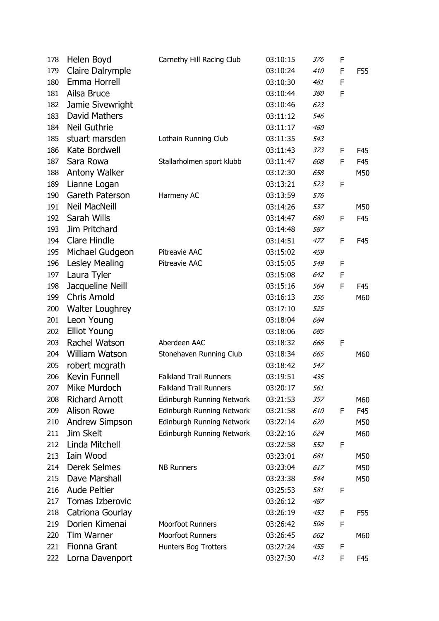| 178 | Helen Boyd             | Carnethy Hill Racing Club     | 03:10:15 | 376        | F |     |
|-----|------------------------|-------------------------------|----------|------------|---|-----|
| 179 | Claire Dalrymple       |                               | 03:10:24 | 410        | F | F55 |
| 180 | Emma Horrell           |                               | 03:10:30 | 481        | F |     |
| 181 | Ailsa Bruce            |                               | 03:10:44 | 380        | F |     |
| 182 | Jamie Sivewright       |                               | 03:10:46 | 623        |   |     |
| 183 | David Mathers          |                               | 03:11:12 | 546        |   |     |
| 184 | Neil Guthrie           |                               | 03:11:17 | 460        |   |     |
| 185 | stuart marsden         | Lothain Running Club          | 03:11:35 | 543        |   |     |
| 186 | Kate Bordwell          |                               | 03:11:43 | 373        | F | F45 |
| 187 | Sara Rowa              | Stallarholmen sport klubb     | 03:11:47 | 608        | F | F45 |
| 188 | Antony Walker          |                               | 03:12:30 | 658        |   | M50 |
| 189 | Lianne Logan           |                               | 03:13:21 | 523        | F |     |
| 190 | Gareth Paterson        | Harmeny AC                    | 03:13:59 | 576        |   |     |
| 191 | <b>Neil MacNeill</b>   |                               | 03:14:26 | 537        |   | M50 |
| 192 | Sarah Wills            |                               | 03:14:47 | 680        | F | F45 |
| 193 | Jim Pritchard          |                               | 03:14:48 | 587        |   |     |
| 194 | <b>Clare Hindle</b>    |                               | 03:14:51 | 477        | F | F45 |
| 195 | Michael Gudgeon        | Pitreavie AAC                 | 03:15:02 | 459        |   |     |
| 196 | Lesley Mealing         | Pitreavie AAC                 | 03:15:05 | 549        | F |     |
| 197 | Laura Tyler            |                               | 03:15:08 | 642        | F |     |
| 198 | Jacqueline Neill       |                               | 03:15:16 | 564        | F | F45 |
| 199 | <b>Chris Arnold</b>    |                               | 03:16:13 | 356        |   | M60 |
| 200 | <b>Walter Loughrey</b> |                               | 03:17:10 | 525        |   |     |
| 201 | Leon Young             |                               | 03:18:04 | 684        |   |     |
| 202 | <b>Elliot Young</b>    |                               | 03:18:06 | 685        |   |     |
| 203 | Rachel Watson          | Aberdeen AAC                  | 03:18:32 | 666        | F |     |
| 204 | <b>William Watson</b>  | Stonehaven Running Club       | 03:18:34 | 665        |   | M60 |
| 205 | robert mcgrath         |                               | 03:18:42 | 547        |   |     |
| 206 | Kevin Funnell          | <b>Falkland Trail Runners</b> | 03:19:51 | 435        |   |     |
| 207 | Mike Murdoch           | <b>Falkland Trail Runners</b> | 03:20:17 | 561        |   |     |
| 208 | <b>Richard Arnott</b>  | Edinburgh Running Network     | 03:21:53 | 357        |   | M60 |
| 209 | <b>Alison Rowe</b>     | Edinburgh Running Network     | 03:21:58 | <i>610</i> | F | F45 |
| 210 | <b>Andrew Simpson</b>  | Edinburgh Running Network     | 03:22:14 | 620        |   | M50 |
| 211 | Jim Skelt              | Edinburgh Running Network     | 03:22:16 | 624        |   | M60 |
| 212 | Linda Mitchell         |                               | 03:22:58 | 552        | F |     |
| 213 | Iain Wood              |                               | 03:23:01 | 681        |   | M50 |
| 214 | <b>Derek Selmes</b>    | <b>NB Runners</b>             | 03:23:04 | 617        |   | M50 |
| 215 | Dave Marshall          |                               | 03:23:38 | 544        |   | M50 |
| 216 | <b>Aude Peltier</b>    |                               | 03:25:53 | 581        | F |     |
| 217 | <b>Tomas Izberovic</b> |                               | 03:26:12 | 487        |   |     |
| 218 | Catriona Gourlay       |                               | 03:26:19 | 453        | F | F55 |
| 219 | Dorien Kimenai         | <b>Moorfoot Runners</b>       | 03:26:42 | 506        | F |     |
| 220 | <b>Tim Warner</b>      | Moorfoot Runners              | 03:26:45 | 662        |   | M60 |
| 221 | <b>Fionna Grant</b>    | Hunters Bog Trotters          | 03:27:24 | 455        | F |     |
| 222 | Lorna Davenport        |                               | 03:27:30 | 413        | F | F45 |